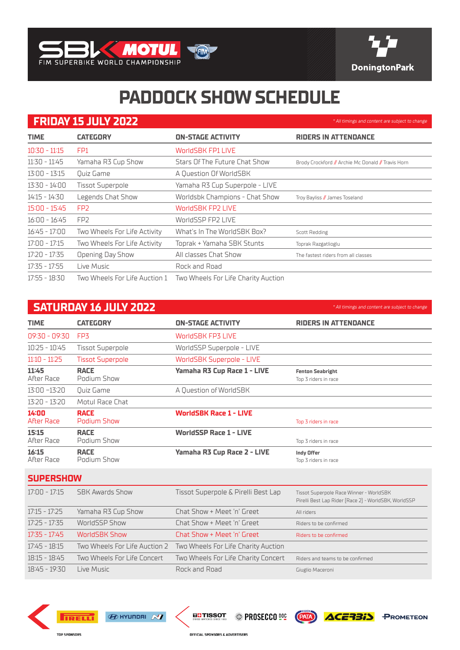



\* All timings and content are subject to change

\* All timings and content are subject to change

## **PADDOCK SHOW SCHEDULE**

## **FRIDAY 15 JULY 2022**

| <b>TIME</b>     | <b>CATEGORY</b>               | <b>ON-STAGE ACTIVITY</b>            | <b>RIDERS IN ATTENDANCE</b>                        |
|-----------------|-------------------------------|-------------------------------------|----------------------------------------------------|
| $10:30 - 11:15$ | FP1                           | <b>WorldSBK FP1 LIVE</b>            |                                                    |
| 11:30 - 11:45   | Yamaha R3 Cup Show            | Stars Of The Future Chat Show       | Brody Crockford // Archie Mc Donald // Travis Horn |
| 13:00 - 13:15   | Quiz Game                     | A Question Of WorldSBK              |                                                    |
| 13:30 - 14:00   | <b>Tissot Superpole</b>       | Yamaha R3 Cup Superpole - LIVE      |                                                    |
| 14:15 - 14:30   | Legends Chat Show             | Worldsbk Champions - Chat Show      | Troy Bayliss // James Toseland                     |
| 15:00 - 15:45   | FP <sub>2</sub>               | <b>WorldSBK FP2 LIVE</b>            |                                                    |
| 16:00 - 16:45   | FP <sub>2</sub>               | WorldSSP FP2 LIVE                   |                                                    |
| 16:45 - 17:00   | Two Wheels For Life Activity  | What's In The WorldSBK Box?         | Scott Redding                                      |
| 17:00 - 17:15   | Two Wheels For Life Activity  | Toprak + Yamaha SBK Stunts          | Toprak Razgatlioglu                                |
| 17:20 - 17:35   | Opening Day Show              | All classes Chat Show               | The fastest riders from all classes                |
| $17:35 - 17:55$ | Live Music                    | Rock and Road                       |                                                    |
| 17:55 - 18:30   | Two Wheels For Life Auction 1 | Two Wheels For Life Charity Auction |                                                    |

## **SATURDAY 16 JULY 2022**

| <b>TIME</b>                | <b>CATEGORY</b>               | <b>ON-STAGE ACTIVITY</b>            | <b>RIDERS IN ATTENDANCE</b>                                                                     |
|----------------------------|-------------------------------|-------------------------------------|-------------------------------------------------------------------------------------------------|
| 09:30 - 09:30              | FP <sub>3</sub>               | <b>WorldSBK FP3 LIVE</b>            |                                                                                                 |
| $10:25 - 10:45$            | <b>Tissot Superpole</b>       | WorldSSP Superpole - LIVE           |                                                                                                 |
| $11:10 - 11:25$            | <b>Tissot Superpole</b>       | <b>WorldSBK Superpole - LIVE</b>    |                                                                                                 |
| 11:45<br>After Race        | <b>RACE</b><br>Podium Show    | Yamaha R3 Cup Race 1 - LIVE         | <b>Fenton Seabright</b><br>Top 3 riders in race                                                 |
| $13:00 - 13:20$            | <b>Ouiz Game</b>              | A Question of WorldSBK              |                                                                                                 |
| $13:20 - 13:20$            | Motul Race Chat               |                                     |                                                                                                 |
| 14:00<br><b>After Race</b> | <b>RACE</b><br>Podium Show    | <b>WorldSBK Race 1 - LIVE</b>       | Top 3 riders in race                                                                            |
| 15:15<br>After Race        | <b>RACE</b><br>Podium Show    | <b>WorldSSP Race 1 - LIVE</b>       | Top 3 riders in race                                                                            |
| 16:15<br>After Race        | <b>RACE</b><br>Podium Show    | Yamaha R3 Cup Race 2 - LIVE         | <b>Indy Offer</b><br>Top 3 riders in race                                                       |
| <b>SUPERSHOW</b>           |                               |                                     |                                                                                                 |
| $17:00 - 17:15$            | <b>SBK Awards Show</b>        | Tissot Superpole & Pirelli Best Lap | Tissot Superpole Race Winner - WorldSBK<br>Pirelli Best Lap Rider [Race 2] - WorldSBK, WorldSSP |
| $17:15 - 17:25$            | Yamaha R3 Cup Show            | Chat Show + Meet 'n' Greet          | All riders                                                                                      |
| $17:25 - 17:35$            | WorldSSP Show                 | Chat Show + Meet 'n' Greet          | Riders to be confirmed                                                                          |
| $17:35 - 17:45$            | WorldSBK Show                 | Chat Show + Meet 'n' Greet          | Riders to be confirmed                                                                          |
| $17:45 - 18:15$            | Two Wheels For Life Auction 2 | Two Wheels For Life Charity Auction |                                                                                                 |
| $18:15 - 18:45$            | Two Wheels For Life Concert   | Two Wheels For Life Charity Concert | Riders and teams to be confirmed                                                                |
| $18:45 - 19:30$            | Live Music                    | Rock and Road                       | Giuglio Maceroni                                                                                |











OFFICIAL SPONSORS & ADVERTISERS